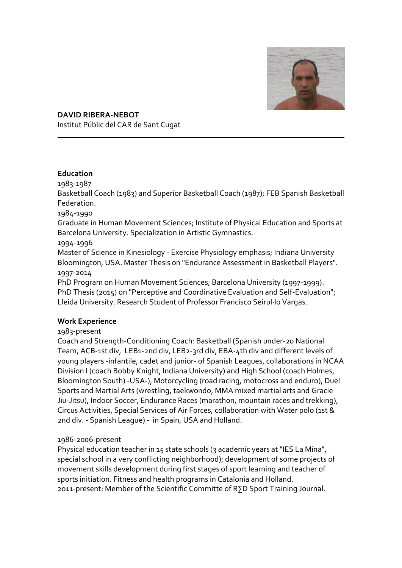

**DAVID RIBERA-NEBOT** Institut Públic del CAR de Sant Cugat

## **Education**

1983-1987

Basketball Coach (1983) and Superior Basketball Coach (1987); FEB Spanish Basketball Federation.

1984-1990

Graduate in Human Movement Sciences; Institute of Physical Education and Sports at Barcelona University. Specialization in Artistic Gymnastics.

1994-1996

Master of Science in Kinesiology - Exercise Physiology emphasis; Indiana University Bloomington, USA. Master Thesis on "Endurance Assessment in Basketball Players". 1997-2014

PhD Program on Human Movement Sciences; Barcelona University (1997-1999). PhD Thesis (2015) on "Perceptive and Coordinative Evaluation and Self-Evaluation"; Lleida University. Research Student of Professor Francisco Seirul·lo Vargas.

# **Work Experience**

1983-present

Coach and Strength-Conditioning Coach: Basketball (Spanish under-20 National Team, ACB-1st div, LEB1-2nd div, LEB2-3rd div, EBA-4th div and different levels of young players -infantile, cadet and junior- of Spanish Leagues, collaborations in NCAA Division I (coach Bobby Knight, Indiana University) and High School (coach Holmes, Bloomington South) -USA-), Motorcycling (road racing, motocross and enduro), Duel Sports and Martial Arts (wrestling, taekwondo, MMA mixed martial arts and Gracie Jiu-Jitsu), Indoor Soccer, Endurance Races (marathon, mountain races and trekking), Circus Activities, Special Services of Air Forces, collaboration with Water polo (1st & 2nd div. - Spanish League) - in Spain, USA and Holland.

# 1986-2006-present

Physical education teacher in 15 state schools (3 academic years at "IES La Mina", special school in a very conflicting neighborhood); development of some projects of movement skills development during first stages of sport learning and teacher of sports initiation. Fitness and health programs in Catalonia and Holland. 2011-present: Member of the Scientific Committe of R∑D Sport Training Journal.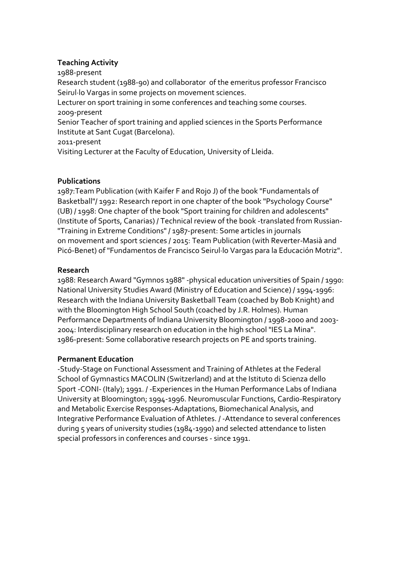### **Teaching Activity**

1988-present

Research student (1988-90) and collaborator of the emeritus professor Francisco Seirul·lo Vargas in some projects on movement sciences.

Lecturer on sport training in some conferences and teaching some courses. 2009-present

Senior Teacher of sport training and applied sciences in the Sports Performance Institute at Sant Cugat (Barcelona).

2011-present

Visiting Lecturer at the Faculty of Education, University of Lleida.

### **Publications**

1987:Team Publication (with Kaifer F and Rojo J) of the book "Fundamentals of Basketball"/ 1992: Research report in one chapter of the book "Psychology Course" (UB) / 1998: One chapter of the book "Sport training for children and adolescents" (Institute of Sports, Canarias) / Technical review of the book -translated from Russian- "Training in Extreme Conditions" / 1987-present: Some articles in journals on movement and sport sciences / 2015: Team Publication (with Reverter-Masià and Picó-Benet) of "Fundamentos de Francisco Seirul·lo Vargas para la Educación Motriz".

## **Research**

1988: Research Award "Gymnos 1988" -physical education universities of Spain / 1990: National University Studies Award (Ministry of Education and Science) / 1994-1996: Research with the Indiana University Basketball Team (coached by Bob Knight) and with the Bloomington High School South (coached by J.R. Holmes). Human Performance Departments of Indiana University Bloomington / 1998-2000 and 2003- 2004: Interdisciplinary research on education in the high school "IES La Mina". 1986-present: Some collaborative research projects on PE and sports training.

### **Permanent Education**

-Study-Stage on Functional Assessment and Training of Athletes at the Federal School of Gymnastics MACOLIN (Switzerland) and at the Istituto di Scienza dello Sport -CONI- (Italy); 1991. / -Experiences in the Human Performance Labs of Indiana University at Bloomington; 1994-1996. Neuromuscular Functions, Cardio-Respiratory and Metabolic Exercise Responses-Adaptations, Biomechanical Analysis, and Integrative Performance Evaluation of Athletes. / -Attendance to several conferences during 5 years of university studies (1984-1990) and selected attendance to listen special professors in conferences and courses - since 1991.